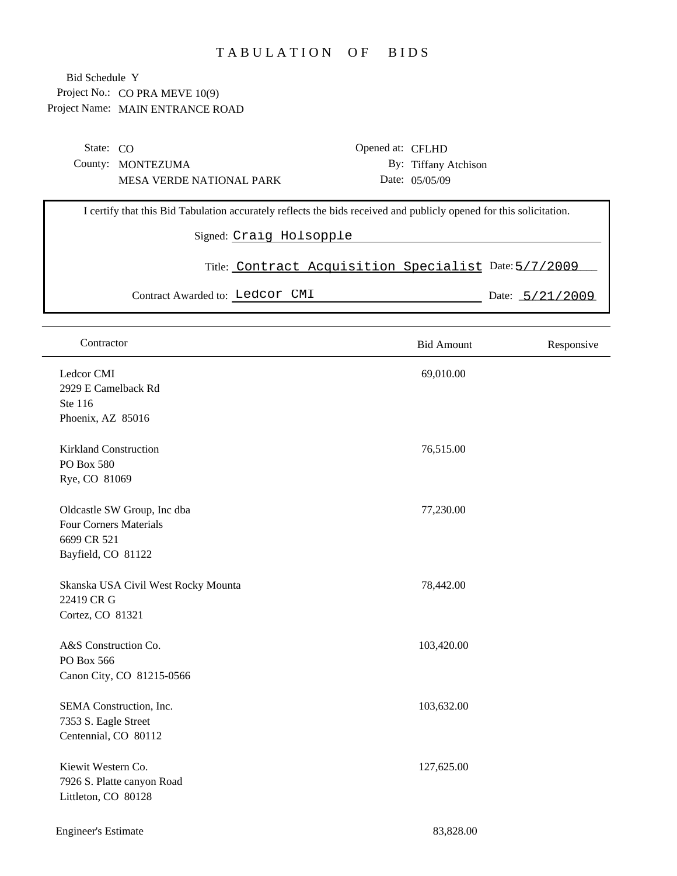## TABULATION OF BIDS

Project No.: CO PRA MEVE 10(9) Project Name: MAIN ENTRANCE ROAD Bid Schedule Y

| State: $CO$                                                                                                         |                                 |                         | Opened at: CFLHD                                      |                      |                   |
|---------------------------------------------------------------------------------------------------------------------|---------------------------------|-------------------------|-------------------------------------------------------|----------------------|-------------------|
|                                                                                                                     | County: MONTEZUMA               |                         |                                                       | By: Tiffany Atchison |                   |
|                                                                                                                     | <b>MESA VERDE NATIONAL PARK</b> |                         |                                                       | Date: 05/05/09       |                   |
|                                                                                                                     |                                 |                         |                                                       |                      |                   |
| I certify that this Bid Tabulation accurately reflects the bids received and publicly opened for this solicitation. |                                 |                         |                                                       |                      |                   |
|                                                                                                                     |                                 | Signed: Craig Holsopple |                                                       |                      |                   |
|                                                                                                                     |                                 |                         | Title: Contract Acquisition Specialist Date: 5/7/2009 |                      |                   |
|                                                                                                                     | Contract Awarded to: Ledcor CMI |                         |                                                       |                      | Date: $5/21/2009$ |
|                                                                                                                     |                                 |                         |                                                       |                      |                   |

| Contractor                                                                                        | <b>Bid Amount</b> | Responsive |
|---------------------------------------------------------------------------------------------------|-------------------|------------|
| Ledcor CMI<br>2929 E Camelback Rd<br>Ste 116<br>Phoenix, AZ 85016                                 | 69,010.00         |            |
| <b>Kirkland Construction</b><br>PO Box 580<br>Rye, CO 81069                                       | 76,515.00         |            |
| Oldcastle SW Group, Inc dba<br><b>Four Corners Materials</b><br>6699 CR 521<br>Bayfield, CO 81122 | 77,230.00         |            |
| Skanska USA Civil West Rocky Mounta<br>22419 CR G<br>Cortez, CO 81321                             | 78,442.00         |            |
| A&S Construction Co.<br>PO Box 566<br>Canon City, CO 81215-0566                                   | 103,420.00        |            |
| SEMA Construction, Inc.<br>7353 S. Eagle Street<br>Centennial, CO 80112                           | 103,632.00        |            |
| Kiewit Western Co.<br>7926 S. Platte canyon Road<br>Littleton, CO 80128                           | 127,625.00        |            |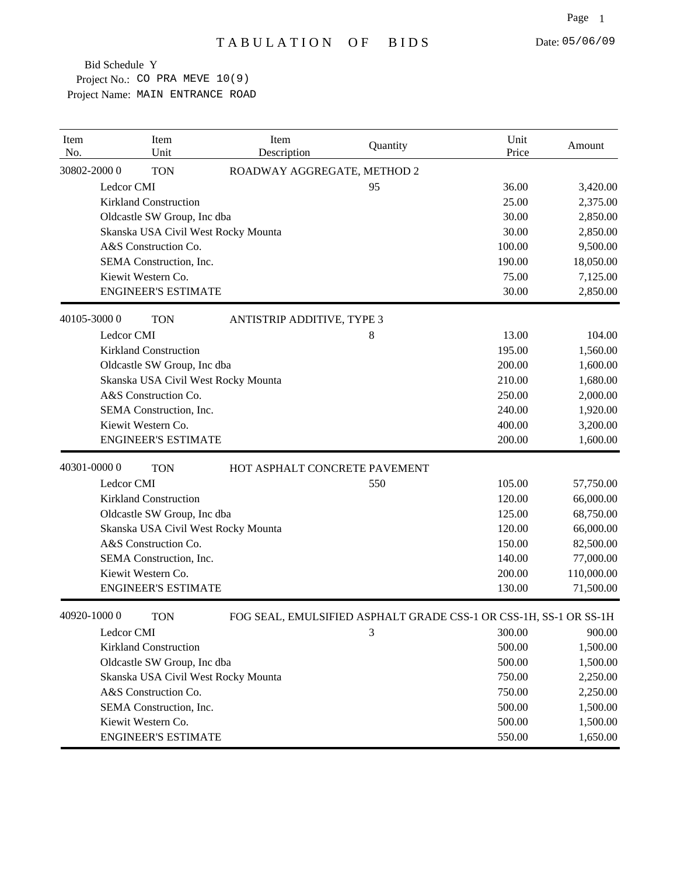Project No.: CO PRA MEVE 10(9) Project Name: MAIN ENTRANCE ROAD Bid Schedule Y

| Item<br>No. | Item<br>Unit                        | Item<br>Description           | Quantity                                                          | Unit<br>Price | Amount     |
|-------------|-------------------------------------|-------------------------------|-------------------------------------------------------------------|---------------|------------|
|             | 30802-20000<br><b>TON</b>           | ROADWAY AGGREGATE, METHOD 2   |                                                                   |               |            |
|             | Ledcor CMI                          |                               | 95                                                                | 36.00         | 3,420.00   |
|             | <b>Kirkland Construction</b>        |                               |                                                                   | 25.00         | 2,375.00   |
|             | Oldcastle SW Group, Inc dba         |                               |                                                                   | 30.00         | 2,850.00   |
|             | Skanska USA Civil West Rocky Mounta |                               |                                                                   | 30.00         | 2,850.00   |
|             | A&S Construction Co.                |                               |                                                                   | 100.00        | 9,500.00   |
|             | SEMA Construction, Inc.             |                               |                                                                   | 190.00        | 18,050.00  |
|             | Kiewit Western Co.                  |                               |                                                                   | 75.00         | 7,125.00   |
|             | <b>ENGINEER'S ESTIMATE</b>          |                               |                                                                   | 30.00         | 2,850.00   |
|             | 40105-30000<br><b>TON</b>           | ANTISTRIP ADDITIVE, TYPE 3    |                                                                   |               |            |
|             | Ledcor CMI                          |                               | 8                                                                 | 13.00         | 104.00     |
|             | <b>Kirkland Construction</b>        |                               |                                                                   | 195.00        | 1,560.00   |
|             | Oldcastle SW Group, Inc dba         |                               |                                                                   | 200.00        | 1,600.00   |
|             | Skanska USA Civil West Rocky Mounta |                               |                                                                   | 210.00        | 1,680.00   |
|             | A&S Construction Co.                |                               |                                                                   | 250.00        | 2,000.00   |
|             | SEMA Construction, Inc.             |                               |                                                                   | 240.00        | 1,920.00   |
|             | Kiewit Western Co.                  |                               |                                                                   | 400.00        | 3,200.00   |
|             | <b>ENGINEER'S ESTIMATE</b>          |                               |                                                                   | 200.00        | 1,600.00   |
|             | 40301-00000<br><b>TON</b>           | HOT ASPHALT CONCRETE PAVEMENT |                                                                   |               |            |
|             | Ledcor CMI                          |                               | 550                                                               | 105.00        | 57,750.00  |
|             | <b>Kirkland Construction</b>        |                               |                                                                   | 120.00        | 66,000.00  |
|             | Oldcastle SW Group, Inc dba         |                               |                                                                   | 125.00        | 68,750.00  |
|             | Skanska USA Civil West Rocky Mounta |                               |                                                                   | 120.00        | 66,000.00  |
|             | A&S Construction Co.                |                               |                                                                   | 150.00        | 82,500.00  |
|             | SEMA Construction, Inc.             |                               |                                                                   | 140.00        | 77,000.00  |
|             | Kiewit Western Co.                  |                               |                                                                   | 200.00        | 110,000.00 |
|             | <b>ENGINEER'S ESTIMATE</b>          |                               |                                                                   | 130.00        | 71,500.00  |
|             | 40920-10000<br><b>TON</b>           |                               | FOG SEAL, EMULSIFIED ASPHALT GRADE CSS-1 OR CSS-1H, SS-1 OR SS-1H |               |            |
|             | Ledcor CMI                          |                               | 3                                                                 | 300.00        | 900.00     |
|             | <b>Kirkland Construction</b>        |                               |                                                                   | 500.00        | 1,500.00   |
|             | Oldcastle SW Group, Inc dba         |                               |                                                                   | 500.00        | 1,500.00   |
|             | Skanska USA Civil West Rocky Mounta |                               |                                                                   | 750.00        | 2,250.00   |
|             | A&S Construction Co.                |                               |                                                                   | 750.00        | 2,250.00   |
|             | SEMA Construction, Inc.             |                               |                                                                   | 500.00        | 1,500.00   |
|             | Kiewit Western Co.                  |                               |                                                                   | 500.00        | 1,500.00   |
|             | <b>ENGINEER'S ESTIMATE</b>          |                               |                                                                   | 550.00        | 1,650.00   |